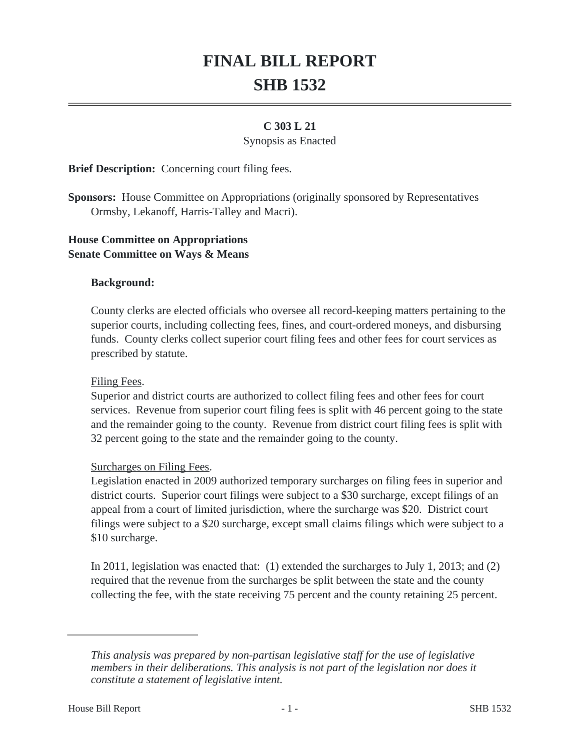# **FINAL BILL REPORT SHB 1532**

## **C 303 L 21**

#### Synopsis as Enacted

**Brief Description:** Concerning court filing fees.

**Sponsors:** House Committee on Appropriations (originally sponsored by Representatives Ormsby, Lekanoff, Harris-Talley and Macri).

## **House Committee on Appropriations Senate Committee on Ways & Means**

### **Background:**

County clerks are elected officials who oversee all record-keeping matters pertaining to the superior courts, including collecting fees, fines, and court-ordered moneys, and disbursing funds. County clerks collect superior court filing fees and other fees for court services as prescribed by statute.

### Filing Fees.

Superior and district courts are authorized to collect filing fees and other fees for court services. Revenue from superior court filing fees is split with 46 percent going to the state and the remainder going to the county. Revenue from district court filing fees is split with 32 percent going to the state and the remainder going to the county.

### Surcharges on Filing Fees.

Legislation enacted in 2009 authorized temporary surcharges on filing fees in superior and district courts. Superior court filings were subject to a \$30 surcharge, except filings of an appeal from a court of limited jurisdiction, where the surcharge was \$20. District court filings were subject to a \$20 surcharge, except small claims filings which were subject to a \$10 surcharge.

In 2011, legislation was enacted that: (1) extended the surcharges to July 1, 2013; and (2) required that the revenue from the surcharges be split between the state and the county collecting the fee, with the state receiving 75 percent and the county retaining 25 percent.

*This analysis was prepared by non-partisan legislative staff for the use of legislative members in their deliberations. This analysis is not part of the legislation nor does it constitute a statement of legislative intent.*